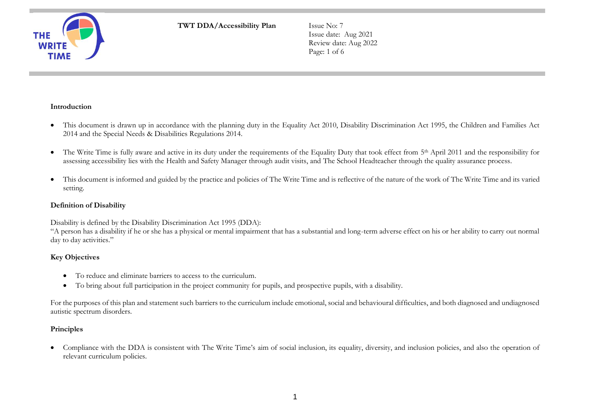**THE WRI** 

**TWT DDA/Accessibility Plan Issue No: 7** 

Issue date: Aug 2021 Review date: Aug 2022 Page: 1 of 6

## **Introduction**

- This document is drawn up in accordance with the planning duty in the Equality Act 2010, Disability Discrimination Act 1995, the Children and Families Act 2014 and the Special Needs & Disabilities Regulations 2014.
- The Write Time is fully aware and active in its duty under the requirements of the Equality Duty that took effect from 5<sup>th</sup> April 2011 and the responsibility for assessing accessibility lies with the Health and Safety Manager through audit visits, and The School Headteacher through the quality assurance process.
- This document is informed and guided by the practice and policies of The Write Time and is reflective of the nature of the work of The Write Time and its varied setting.

### **Definition of Disability**

Disability is defined by the Disability Discrimination Act 1995 (DDA):

"A person has a disability if he or she has a physical or mental impairment that has a substantial and long-term adverse effect on his or her ability to carry out normal day to day activities."

## **Key Objectives**

- To reduce and eliminate barriers to access to the curriculum.
- To bring about full participation in the project community for pupils, and prospective pupils, with a disability.

For the purposes of this plan and statement such barriers to the curriculum include emotional, social and behavioural difficulties, and both diagnosed and undiagnosed autistic spectrum disorders.

## **Principles**

• Compliance with the DDA is consistent with The Write Time's aim of social inclusion, its equality, diversity, and inclusion policies, and also the operation of relevant curriculum policies.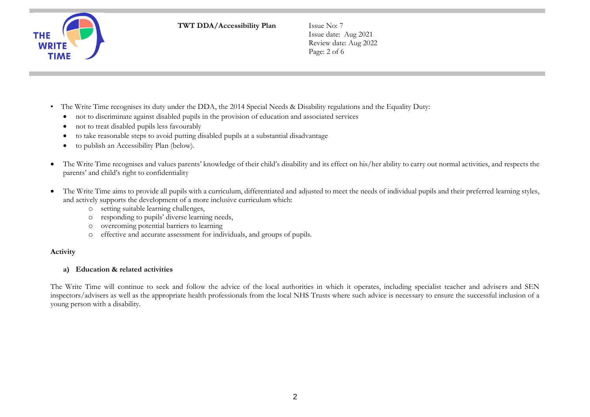

Issue date: Aug 2021 Review date: Aug 2022 Page: 2 of 6

- The Write Time recognises its duty under the DDA, the 2014 Special Needs & Disability regulations and the Equality Duty:
	- not to discriminate against disabled pupils in the provision of education and associated services
	- not to treat disabled pupils less favourably
	- to take reasonable steps to avoid putting disabled pupils at a substantial disadvantage
	- to publish an Accessibility Plan (below).
- The Write Time recognises and values parents' knowledge of their child's disability and its effect on his/her ability to carry out normal activities, and respects the parents' and child's right to confidentiality
- The Write Time aims to provide all pupils with a curriculum, differentiated and adjusted to meet the needs of individual pupils and their preferred learning styles, and actively supports the development of a more inclusive curriculum which:
	- o setting suitable learning challenges,
	- o responding to pupils' diverse learning needs,
	- o overcoming potential barriers to learning
	- o effective and accurate assessment for individuals, and groups of pupils.

# **Activity**

# **a) Education & related activities**

The Write Time will continue to seek and follow the advice of the local authorities in which it operates, including specialist teacher and advisers and SEN inspectors/advisers as well as the appropriate health professionals from the local NHS Trusts where such advice is necessary to ensure the successful inclusion of a young person with a disability.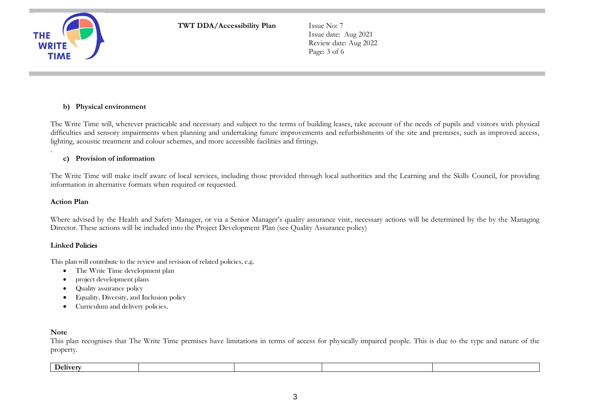

Issue date: Aug 2021 Review date: Aug 2022 Page: 3 of 6

## **b) Physical environment**

The Write Time will, wherever practicable and necessary and subject to the terms of building leases, take account of the needs of pupils and visitors with physical difficulties and sensory impairments when planning and undertaking future improvements and refurbishments of the site and premises, such as improved access, lighting, acoustic treatment and colour schemes, and more accessible facilities and fittings.

#### **c) Provision of information**

The Write Time will make itself aware of local services, including those provided through local authorities and the Learning and the Skills Council, for providing information in alternative formats when required or requested.

#### **Action Plan**

.

Where advised by the Health and Safety Manager, or via a Senior Manager's quality assurance visit, necessary actions will be determined by the by the Managing Director. These actions will be included into the Project Development Plan (see Quality Assurance policy)

#### **Linked** Policies

This plan will contribute to the review and revision of related policies, e.g.

- The Write Time development plan
- project development plans
- Quality assurance policy
- Equality, Diversity, and Inclusion policy
- Curriculum and delivery policies.

#### **Note**

This plan recognises that The Write Time premises have limitations in terms of access for physically impaired people. This is due to the type and nature of the property.

| T.<br>u Jeliver - |  |  |
|-------------------|--|--|
|                   |  |  |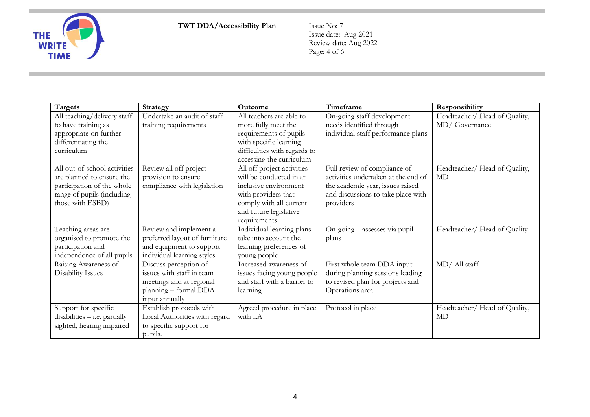

Issue date: Aug 2021 Review date: Aug 2022 Page: 4 of 6

| <b>Targets</b>                  | Strategy                      | <b>Outcome</b>               | Timeframe                           | Responsibility                |
|---------------------------------|-------------------------------|------------------------------|-------------------------------------|-------------------------------|
| All teaching/delivery staff     | Undertake an audit of staff   | All teachers are able to     | On-going staff development          | Headteacher/ Head of Quality, |
| to have training as             | training requirements         | more fully meet the          | needs identified through            | MD/Governance                 |
| appropriate on further          |                               | requirements of pupils       | individual staff performance plans  |                               |
| differentiating the             |                               | with specific learning       |                                     |                               |
| curriculum                      |                               | difficulties with regards to |                                     |                               |
|                                 |                               | accessing the curriculum     |                                     |                               |
| All out-of-school activities    | Review all off project        | All off project activities   | Full review of compliance of        | Headteacher/ Head of Quality, |
| are planned to ensure the       | provision to ensure           | will be conducted in an      | activities undertaken at the end of | <b>MD</b>                     |
| participation of the whole      | compliance with legislation   | inclusive environment        | the academic year, issues raised    |                               |
| range of pupils (including      |                               | with providers that          | and discussions to take place with  |                               |
| those with ESBD)                |                               | comply with all current      | providers                           |                               |
|                                 |                               | and future legislative       |                                     |                               |
|                                 |                               | requirements                 |                                     |                               |
| Teaching areas are              | Review and implement a        | Individual learning plans    | On-going - assesses via pupil       | Headteacher/ Head of Quality  |
| organised to promote the        | preferred layout of furniture | take into account the        | plans                               |                               |
| participation and               | and equipment to support      | learning preferences of      |                                     |                               |
| independence of all pupils      | individual learning styles    | young people                 |                                     |                               |
| Raising Awareness of            | Discuss perception of         | Increased awareness of       | First whole team DDA input          | MD/ All staff                 |
| <b>Disability Issues</b>        | issues with staff in team     | issues facing young people   | during planning sessions leading    |                               |
|                                 | meetings and at regional      | and staff with a barrier to  | to revised plan for projects and    |                               |
|                                 | planning - formal DDA         | learning                     | Operations area                     |                               |
|                                 | input annually                |                              |                                     |                               |
| Support for specific            | Establish protocols with      | Agreed procedure in place    | Protocol in place                   | Headteacher/ Head of Quality, |
| $disabilities - i.e. partially$ | Local Authorities with regard | with LA                      |                                     | MD                            |
| sighted, hearing impaired       | to specific support for       |                              |                                     |                               |
|                                 | pupils.                       |                              |                                     |                               |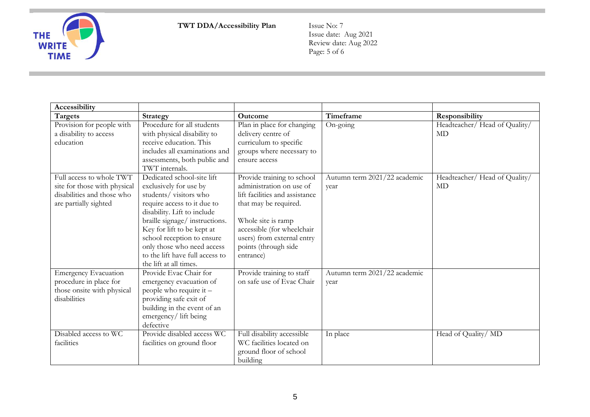

Issue date: Aug 2021 Review date: Aug 2022 Page: 5 of 6

| <b>Accessibility</b>         |                                 |                                |                              |                               |
|------------------------------|---------------------------------|--------------------------------|------------------------------|-------------------------------|
| <b>Targets</b>               | Strategy                        | Outcome                        | Timeframe                    | Responsibility                |
| Provision for people with    | Procedure for all students      | Plan in place for changing     | On-going                     | Headteacher/ Head of Quality/ |
| a disability to access       | with physical disability to     | delivery centre of             |                              | MD                            |
| education                    | receive education. This         | curriculum to specific         |                              |                               |
|                              | includes all examinations and   | groups where necessary to      |                              |                               |
|                              | assessments, both public and    | ensure access                  |                              |                               |
|                              | TWT internals.                  |                                |                              |                               |
| Full access to whole TWT     | Dedicated school-site lift      | Provide training to school     | Autumn term 2021/22 academic | Headteacher/ Head of Quality/ |
| site for those with physical | exclusively for use by          | administration on use of       | year                         | MD                            |
| disabilities and those who   | students/visitors who           | lift facilities and assistance |                              |                               |
| are partially sighted        | require access to it due to     | that may be required.          |                              |                               |
|                              | disability. Lift to include     |                                |                              |                               |
|                              | braille signage/ instructions.  | Whole site is ramp             |                              |                               |
|                              | Key for lift to be kept at      | accessible (for wheelchair     |                              |                               |
|                              | school reception to ensure      | users) from external entry     |                              |                               |
|                              | only those who need access      | points (through side           |                              |                               |
|                              | to the lift have full access to | entrance)                      |                              |                               |
|                              | the lift at all times.          |                                |                              |                               |
| <b>Emergency Evacuation</b>  | Provide Evac Chair for          | Provide training to staff      | Autumn term 2021/22 academic |                               |
| procedure in place for       | emergency evacuation of         | on safe use of Evac Chair      | year                         |                               |
| those onsite with physical   | people who require it -         |                                |                              |                               |
| disabilities                 | providing safe exit of          |                                |                              |                               |
|                              | building in the event of an     |                                |                              |                               |
|                              | emergency/lift being            |                                |                              |                               |
|                              | defective                       |                                |                              |                               |
| Disabled access to WC        | Provide disabled access WC      | Full disability accessible     | In place                     | Head of Quality/ MD           |
| facilities                   | facilities on ground floor      | WC facilities located on       |                              |                               |
|                              |                                 | ground floor of school         |                              |                               |
|                              |                                 | building                       |                              |                               |